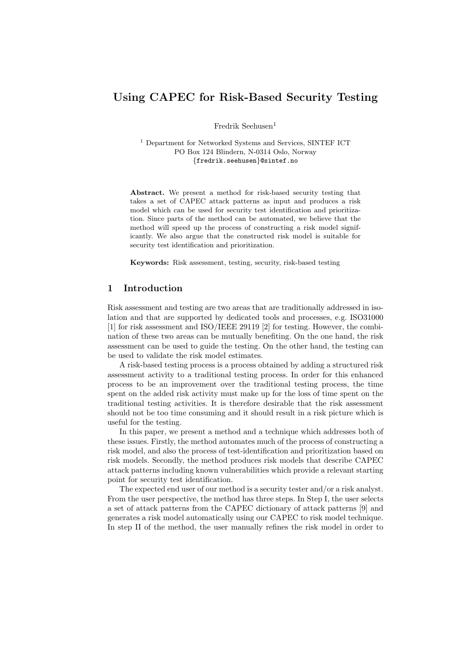# Using CAPEC for Risk-Based Security Testing

Fredrik Seehusen<sup>1</sup>

<sup>1</sup> Department for Networked Systems and Services, SINTEF ICT PO Box 124 Blindern, N-0314 Oslo, Norway {fredrik.seehusen}@sintef.no

Abstract. We present a method for risk-based security testing that takes a set of CAPEC attack patterns as input and produces a risk model which can be used for security test identification and prioritization. Since parts of the method can be automated, we believe that the method will speed up the process of constructing a risk model significantly. We also argue that the constructed risk model is suitable for security test identification and prioritization.

Keywords: Risk assessment, testing, security, risk-based testing

### 1 Introduction

Risk assessment and testing are two areas that are traditionally addressed in isolation and that are supported by dedicated tools and processes, e.g. ISO31000 [1] for risk assessment and ISO/IEEE 29119 [2] for testing. However, the combination of these two areas can be mutually benefiting. On the one hand, the risk assessment can be used to guide the testing. On the other hand, the testing can be used to validate the risk model estimates.

A risk-based testing process is a process obtained by adding a structured risk assessment activity to a traditional testing process. In order for this enhanced process to be an improvement over the traditional testing process, the time spent on the added risk activity must make up for the loss of time spent on the traditional testing activities. It is therefore desirable that the risk assessment should not be too time consuming and it should result in a risk picture which is useful for the testing.

In this paper, we present a method and a technique which addresses both of these issues. Firstly, the method automates much of the process of constructing a risk model, and also the process of test-identification and prioritization based on risk models. Secondly, the method produces risk models that describe CAPEC attack patterns including known vulnerabilities which provide a relevant starting point for security test identification.

The expected end user of our method is a security tester and/or a risk analyst. From the user perspective, the method has three steps. In Step I, the user selects a set of attack patterns from the CAPEC dictionary of attack patterns [9] and generates a risk model automatically using our CAPEC to risk model technique. In step II of the method, the user manually refines the risk model in order to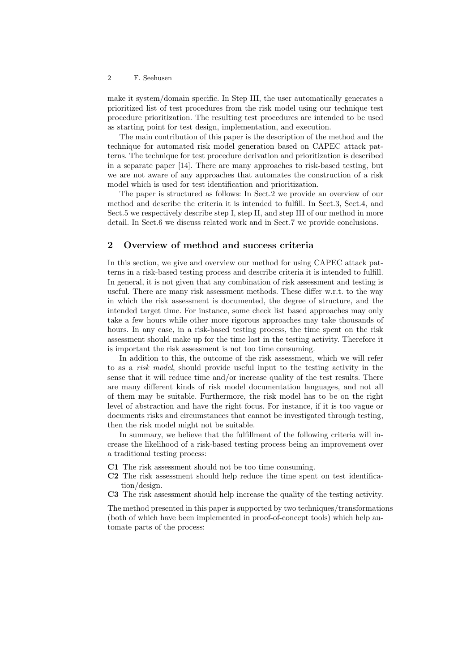make it system/domain specific. In Step III, the user automatically generates a prioritized list of test procedures from the risk model using our technique test procedure prioritization. The resulting test procedures are intended to be used as starting point for test design, implementation, and execution.

The main contribution of this paper is the description of the method and the technique for automated risk model generation based on CAPEC attack patterns. The technique for test procedure derivation and prioritization is described in a separate paper [14]. There are many approaches to risk-based testing, but we are not aware of any approaches that automates the construction of a risk model which is used for test identification and prioritization.

The paper is structured as follows: In Sect.2 we provide an overview of our method and describe the criteria it is intended to fulfill. In Sect.3, Sect.4, and Sect.5 we respectively describe step I, step II, and step III of our method in more detail. In Sect.6 we discuss related work and in Sect.7 we provide conclusions.

### 2 Overview of method and success criteria

In this section, we give and overview our method for using CAPEC attack patterns in a risk-based testing process and describe criteria it is intended to fulfill. In general, it is not given that any combination of risk assessment and testing is useful. There are many risk assessment methods. These differ w.r.t. to the way in which the risk assessment is documented, the degree of structure, and the intended target time. For instance, some check list based approaches may only take a few hours while other more rigorous approaches may take thousands of hours. In any case, in a risk-based testing process, the time spent on the risk assessment should make up for the time lost in the testing activity. Therefore it is important the risk assessment is not too time consuming.

In addition to this, the outcome of the risk assessment, which we will refer to as a risk model, should provide useful input to the testing activity in the sense that it will reduce time and/or increase quality of the test results. There are many different kinds of risk model documentation languages, and not all of them may be suitable. Furthermore, the risk model has to be on the right level of abstraction and have the right focus. For instance, if it is too vague or documents risks and circumstances that cannot be investigated through testing, then the risk model might not be suitable.

In summary, we believe that the fulfillment of the following criteria will increase the likelihood of a risk-based testing process being an improvement over a traditional testing process:

C1 The risk assessment should not be too time consuming.

- C2 The risk assessment should help reduce the time spent on test identification/design.
- C3 The risk assessment should help increase the quality of the testing activity.

The method presented in this paper is supported by two techniques/transformations (both of which have been implemented in proof-of-concept tools) which help automate parts of the process: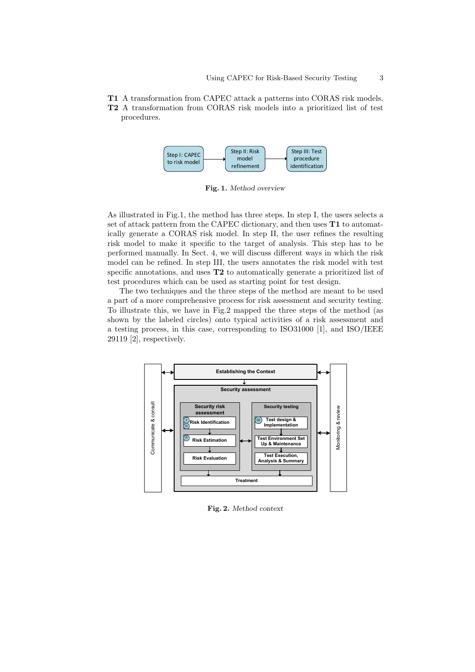- T1 A transformation from CAPEC attack a patterns into CORAS risk models.
- T2 A transformation from CORAS risk models into a prioritized list of test procedures.



Fig. 1. Method overview

As illustrated in Fig.1, the method has three steps. In step I, the users selects a set of attack pattern from the CAPEC dictionary, and then uses T1 to automatically generate a CORAS risk model. In step II, the user refines the resulting risk model to make it specific to the target of analysis. This step has to be performed manually. In Sect. 4, we will discuss different ways in which the risk model can be refined. In step III, the users annotates the risk model with test specific annotations, and uses **T2** to automatically generate a prioritized list of test procedures which can be used as starting point for test design.

The two techniques and the three steps of the method are meant to be used a part of a more comprehensive process for risk assessment and security testing. To illustrate this, we have in Fig.2 mapped the three steps of the method (as shown by the labeled circles) onto typical activities of a risk assessment and a testing process, in this case, corresponding to ISO31000 [1], and ISO/IEEE 29119 [2], respectively.



Fig. 2. Method context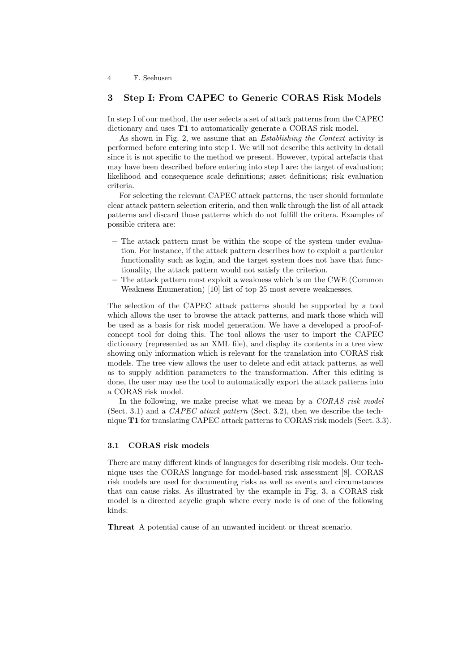### 3 Step I: From CAPEC to Generic CORAS Risk Models

In step I of our method, the user selects a set of attack patterns from the CAPEC dictionary and uses **T1** to automatically generate a CORAS risk model.

As shown in Fig. 2, we assume that an *Establishing the Context* activity is performed before entering into step I. We will not describe this activity in detail since it is not specific to the method we present. However, typical artefacts that may have been described before entering into step I are: the target of evaluation; likelihood and consequence scale definitions; asset definitions; risk evaluation criteria.

For selecting the relevant CAPEC attack patterns, the user should formulate clear attack pattern selection criteria, and then walk through the list of all attack patterns and discard those patterns which do not fulfill the critera. Examples of possible critera are:

- The attack pattern must be within the scope of the system under evaluation. For instance, if the attack pattern describes how to exploit a particular functionality such as login, and the target system does not have that functionality, the attack pattern would not satisfy the criterion.
- The attack pattern must exploit a weakness which is on the CWE (Common Weakness Enumeration) [10] list of top 25 most severe weaknesses.

The selection of the CAPEC attack patterns should be supported by a tool which allows the user to browse the attack patterns, and mark those which will be used as a basis for risk model generation. We have a developed a proof-ofconcept tool for doing this. The tool allows the user to import the CAPEC dictionary (represented as an XML file), and display its contents in a tree view showing only information which is relevant for the translation into CORAS risk models. The tree view allows the user to delete and edit attack patterns, as well as to supply addition parameters to the transformation. After this editing is done, the user may use the tool to automatically export the attack patterns into a CORAS risk model.

In the following, we make precise what we mean by a CORAS risk model (Sect. 3.1) and a CAPEC attack pattern (Sect. 3.2), then we describe the technique T1 for translating CAPEC attack patterns to CORAS risk models (Sect. 3.3).

#### 3.1 CORAS risk models

There are many different kinds of languages for describing risk models. Our technique uses the CORAS language for model-based risk assessment [8]. CORAS risk models are used for documenting risks as well as events and circumstances that can cause risks. As illustrated by the example in Fig. 3, a CORAS risk model is a directed acyclic graph where every node is of one of the following kinds:

Threat A potential cause of an unwanted incident or threat scenario.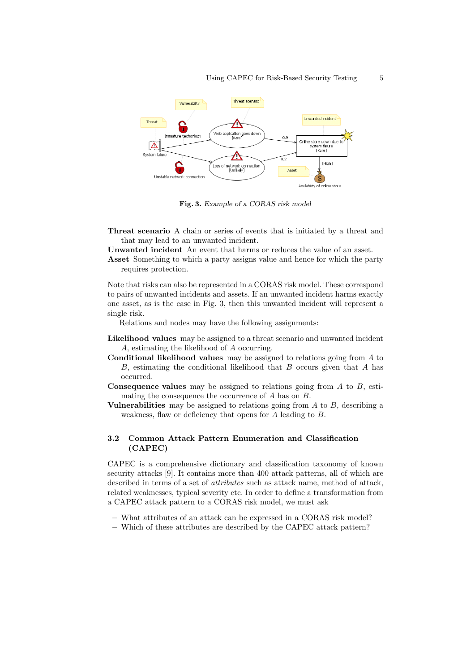

Fig. 3. Example of a CORAS risk model

Threat scenario A chain or series of events that is initiated by a threat and that may lead to an unwanted incident.

Unwanted incident An event that harms or reduces the value of an asset.

Asset Something to which a party assigns value and hence for which the party requires protection.

Note that risks can also be represented in a CORAS risk model. These correspond to pairs of unwanted incidents and assets. If an unwanted incident harms exactly one asset, as is the case in Fig. 3, then this unwanted incident will represent a single risk.

Relations and nodes may have the following assignments:

- Likelihood values may be assigned to a threat scenario and unwanted incident A, estimating the likelihood of A occurring.
- Conditional likelihood values may be assigned to relations going from A to B, estimating the conditional likelihood that B occurs given that A has occurred.
- **Consequence values** may be assigned to relations going from  $A$  to  $B$ , estimating the consequence the occurrence of A has on B.
- Vulnerabilities may be assigned to relations going from  $A$  to  $B$ , describing a weakness, flaw or deficiency that opens for A leading to B.

### 3.2 Common Attack Pattern Enumeration and Classification (CAPEC)

CAPEC is a comprehensive dictionary and classification taxonomy of known security attacks [9]. It contains more than 400 attack patterns, all of which are described in terms of a set of *attributes* such as attack name, method of attack, related weaknesses, typical severity etc. In order to define a transformation from a CAPEC attack pattern to a CORAS risk model, we must ask

- What attributes of an attack can be expressed in a CORAS risk model?
- Which of these attributes are described by the CAPEC attack pattern?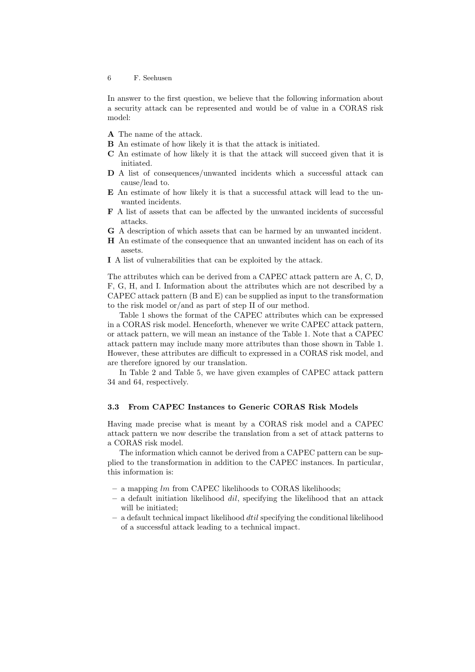In answer to the first question, we believe that the following information about a security attack can be represented and would be of value in a CORAS risk model:

- A The name of the attack.
- B An estimate of how likely it is that the attack is initiated.
- C An estimate of how likely it is that the attack will succeed given that it is initiated.
- D A list of consequences/unwanted incidents which a successful attack can cause/lead to.
- E An estimate of how likely it is that a successful attack will lead to the unwanted incidents.
- F A list of assets that can be affected by the unwanted incidents of successful attacks.
- G A description of which assets that can be harmed by an unwanted incident.
- H An estimate of the consequence that an unwanted incident has on each of its assets.
- I A list of vulnerabilities that can be exploited by the attack.

The attributes which can be derived from a CAPEC attack pattern are A, C, D, F, G, H, and I. Information about the attributes which are not described by a CAPEC attack pattern (B and E) can be supplied as input to the transformation to the risk model or/and as part of step II of our method.

Table 1 shows the format of the CAPEC attributes which can be expressed in a CORAS risk model. Henceforth, whenever we write CAPEC attack pattern, or attack pattern, we will mean an instance of the Table 1. Note that a CAPEC attack pattern may include many more attributes than those shown in Table 1. However, these attributes are difficult to expressed in a CORAS risk model, and are therefore ignored by our translation.

In Table 2 and Table 5, we have given examples of CAPEC attack pattern 34 and 64, respectively.

### 3.3 From CAPEC Instances to Generic CORAS Risk Models

Having made precise what is meant by a CORAS risk model and a CAPEC attack pattern we now describe the translation from a set of attack patterns to a CORAS risk model.

The information which cannot be derived from a CAPEC pattern can be supplied to the transformation in addition to the CAPEC instances. In particular, this information is:

- $-$  a mapping lm from CAPEC likelihoods to CORAS likelihoods;
- $-$  a default initiation likelihood *dil*, specifying the likelihood that an attack will be initiated;
- $-$  a default technical impact likelihood  $dtil$  specifying the conditional likelihood of a successful attack leading to a technical impact.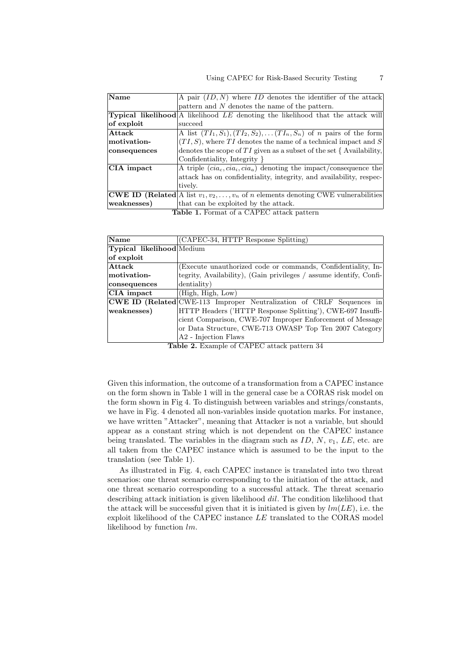| Name         | A pair $(ID, N)$ where ID denotes the identifier of the attack                                   |  |  |
|--------------|--------------------------------------------------------------------------------------------------|--|--|
|              | pattern and $N$ denotes the name of the pattern.                                                 |  |  |
|              | <b>Typical likelihood</b> A likelihood $LE$ denoting the likelihood that the attack will         |  |  |
| of exploit   | <b>succeed</b>                                                                                   |  |  |
| Attack       | A list $(TI_1, S_1), (TI_2, S_2), \ldots (TI_n, S_n)$ of <i>n</i> pairs of the form              |  |  |
| motivation-  | $(TI, S)$ , where TI denotes the name of a technical impact and S                                |  |  |
| consequences | denotes the scope of TI given as a subset of the set $\{$ Availability,                          |  |  |
|              | Confidentiality, Integrity $\}$                                                                  |  |  |
| CIA impact   | A triple $(cia_c, cia_i, cia_a)$ denoting the impact/consequence the                             |  |  |
|              | attack has on confidentiality, integrity, and availability, respec-                              |  |  |
|              | tively.                                                                                          |  |  |
|              | <b>CWE ID</b> (Related A list $v_1, v_2, \ldots, v_n$ of n elements denoting CWE vulnerabilities |  |  |
| weaknesses)  | that can be exploited by the attack.<br>$\sim$ $\sim$ $\sim$ $\sim$                              |  |  |

Table 1. Format of a CAPEC attack pattern

| Name                             | $(CAPEC-34, HTTP$ Response Splitting)                                                             |  |  |  |  |
|----------------------------------|---------------------------------------------------------------------------------------------------|--|--|--|--|
| <b>Typical likelihood</b> Medium |                                                                                                   |  |  |  |  |
| of exploit                       |                                                                                                   |  |  |  |  |
| Attack                           | (Execute unauthorized code or commands, Confidentiality, In-                                      |  |  |  |  |
| motivation-                      | tegrity, Availability), (Gain privileges / assume identify, Confi-                                |  |  |  |  |
| consequences                     | dentiality)                                                                                       |  |  |  |  |
| CIA impact                       | (High, High, Low)                                                                                 |  |  |  |  |
|                                  | $\mathbf{CWE}$ ID (Related $\mathbf{CWE}\text{-}113$ Improper Neutralization of CRLF Sequences in |  |  |  |  |
| weaknesses)                      | HTTP Headers ('HTTP Response Splitting'), CWE-697 Insuffi-                                        |  |  |  |  |
|                                  | cient Comparison, CWE-707 Improper Enforcement of Message                                         |  |  |  |  |
|                                  | or Data Structure, CWE-713 OWASP Top Ten 2007 Category                                            |  |  |  |  |
|                                  | A <sub>2</sub> - Injection Flaws<br>.                                                             |  |  |  |  |

Table 2. Example of CAPEC attack pattern 34

Given this information, the outcome of a transformation from a CAPEC instance on the form shown in Table 1 will in the general case be a CORAS risk model on the form shown in Fig 4. To distinguish between variables and strings/constants, we have in Fig. 4 denoted all non-variables inside quotation marks. For instance, we have written "Attacker", meaning that Attacker is not a variable, but should appear as a constant string which is not dependent on the CAPEC instance being translated. The variables in the diagram such as  $ID, N, v_1, LE$ , etc. are all taken from the CAPEC instance which is assumed to be the input to the translation (see Table 1).

As illustrated in Fig. 4, each CAPEC instance is translated into two threat scenarios: one threat scenario corresponding to the initiation of the attack, and one threat scenario corresponding to a successful attack. The threat scenario describing attack initiation is given likelihood dil. The condition likelihood that the attack will be successful given that it is initiated is given by  $lm(LE)$ , i.e. the exploit likelihood of the CAPEC instance LE translated to the CORAS model likelihood by function lm.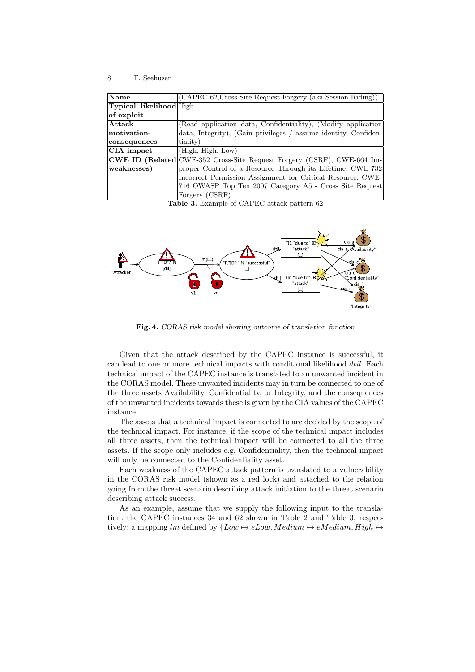| <b>Name</b>             | (CAPEC-62, Cross Site Request Forgery (aka Session Riding))                   |  |  |  |
|-------------------------|-------------------------------------------------------------------------------|--|--|--|
| Typical likelihood High |                                                                               |  |  |  |
| of exploit              |                                                                               |  |  |  |
| Attack                  | (Read application data, Confidentiality), (Modify application                 |  |  |  |
| motivation-             | data, Integrity), (Gain privileges / assume identity, Confiden-               |  |  |  |
| consequences            | tiality)                                                                      |  |  |  |
| CIA impact              | (High, High, Low)                                                             |  |  |  |
|                         | <b>CWE ID (Related</b> CWE-352 Cross-Site Request Forgery (CSRF), CWE-664 Im- |  |  |  |
| weaknesses)             | proper Control of a Resource Through its Lifetime, CWE-732                    |  |  |  |
|                         | Incorrect Permission Assignment for Critical Resource, CWE-                   |  |  |  |
|                         | 716 OWASP Top Ten 2007 Category A5 - Cross Site Request                       |  |  |  |
|                         | Forgery (CSRF)                                                                |  |  |  |

Table 3. Example of CAPEC attack pattern 62



Fig. 4. CORAS risk model showing outcome of translation function

Given that the attack described by the CAPEC instance is successful, it can lead to one or more technical impacts with conditional likelihood dtil. Each technical impact of the CAPEC instance is translated to an unwanted incident in the CORAS model. These unwanted incidents may in turn be connected to one of the three assets Availability, Confidentiality, or Integrity, and the consequences of the unwanted incidents towards these is given by the CIA values of the CAPEC instance.

The assets that a technical impact is connected to are decided by the scope of the technical impact. For instance, if the scope of the technical impact includes all three assets, then the technical impact will be connected to all the three assets. If the scope only includes e.g. Confidentiality, then the technical impact will only be connected to the Confidentiality asset.

Each weakness of the CAPEC attack pattern is translated to a vulnerability in the CORAS risk model (shown as a red lock) and attached to the relation going from the threat scenario describing attack initiation to the threat scenario describing attack success.

As an example, assume that we supply the following input to the translation: the CAPEC instances 34 and 62 shown in Table 2 and Table 3, respectively; a mapping lm defined by  $\{Low \mapsto eLow, Medium \mapsto e Medium, High \mapsto$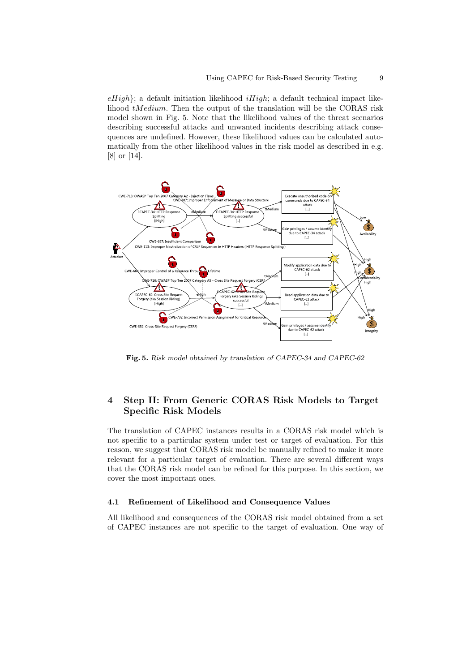$eHigh\};$  a default initiation likelihood  $iHigh$ ; a default technical impact likelihood tMedium. Then the output of the translation will be the CORAS risk model shown in Fig. 5. Note that the likelihood values of the threat scenarios describing successful attacks and unwanted incidents describing attack consequences are undefined. However, these likelihood values can be calculated automatically from the other likelihood values in the risk model as described in e.g. [8] or [14].



Fig. 5. Risk model obtained by translation of CAPEC-34 and CAPEC-62

# 4 Step II: From Generic CORAS Risk Models to Target Specific Risk Models

The translation of CAPEC instances results in a CORAS risk model which is not specific to a particular system under test or target of evaluation. For this reason, we suggest that CORAS risk model be manually refined to make it more relevant for a particular target of evaluation. There are several different ways that the CORAS risk model can be refined for this purpose. In this section, we cover the most important ones.

### 4.1 Refinement of Likelihood and Consequence Values

All likelihood and consequences of the CORAS risk model obtained from a set of CAPEC instances are not specific to the target of evaluation. One way of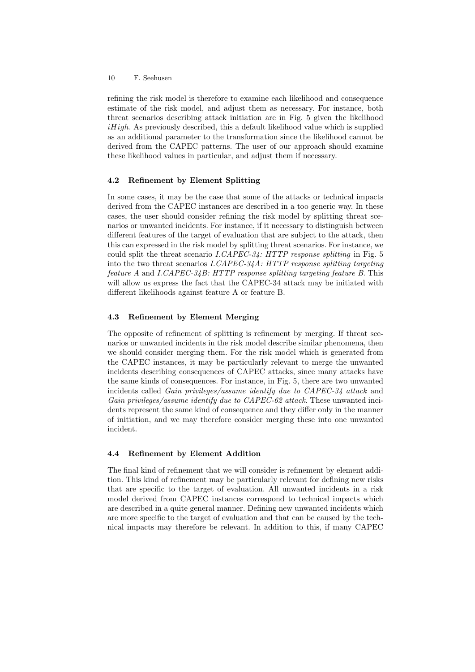refining the risk model is therefore to examine each likelihood and consequence estimate of the risk model, and adjust them as necessary. For instance, both threat scenarios describing attack initiation are in Fig. 5 given the likelihood  $iHigh$ . As previously described, this a default likelihood value which is supplied as an additional parameter to the transformation since the likelihood cannot be derived from the CAPEC patterns. The user of our approach should examine these likelihood values in particular, and adjust them if necessary.

### 4.2 Refinement by Element Splitting

In some cases, it may be the case that some of the attacks or technical impacts derived from the CAPEC instances are described in a too generic way. In these cases, the user should consider refining the risk model by splitting threat scenarios or unwanted incidents. For instance, if it necessary to distinguish between different features of the target of evaluation that are subject to the attack, then this can expressed in the risk model by splitting threat scenarios. For instance, we could split the threat scenario *I.CAPEC-34: HTTP response splitting* in Fig. 5 into the two threat scenarios I.CAPEC-34A: HTTP response splitting targeting feature A and I.CAPEC-34B: HTTP response splitting targeting feature B. This will allow us express the fact that the CAPEC-34 attack may be initiated with different likelihoods against feature A or feature B.

#### 4.3 Refinement by Element Merging

The opposite of refinement of splitting is refinement by merging. If threat scenarios or unwanted incidents in the risk model describe similar phenomena, then we should consider merging them. For the risk model which is generated from the CAPEC instances, it may be particularly relevant to merge the unwanted incidents describing consequences of CAPEC attacks, since many attacks have the same kinds of consequences. For instance, in Fig. 5, there are two unwanted incidents called Gain privileges/assume identify due to CAPEC-34 attack and Gain privileges/assume identify due to CAPEC-62 attack. These unwanted incidents represent the same kind of consequence and they differ only in the manner of initiation, and we may therefore consider merging these into one unwanted incident.

#### 4.4 Refinement by Element Addition

The final kind of refinement that we will consider is refinement by element addition. This kind of refinement may be particularly relevant for defining new risks that are specific to the target of evaluation. All unwanted incidents in a risk model derived from CAPEC instances correspond to technical impacts which are described in a quite general manner. Defining new unwanted incidents which are more specific to the target of evaluation and that can be caused by the technical impacts may therefore be relevant. In addition to this, if many CAPEC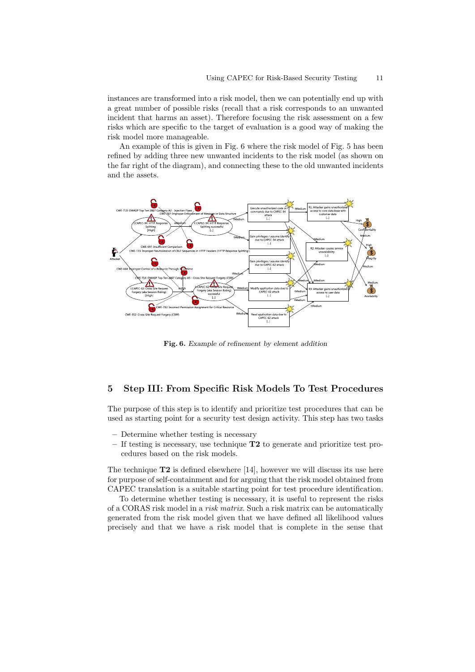instances are transformed into a risk model, then we can potentially end up with a great number of possible risks (recall that a risk corresponds to an unwanted incident that harms an asset). Therefore focusing the risk assessment on a few risks which are specific to the target of evaluation is a good way of making the risk model more manageable.

An example of this is given in Fig. 6 where the risk model of Fig. 5 has been refined by adding three new unwanted incidents to the risk model (as shown on the far right of the diagram), and connecting these to the old unwanted incidents and the assets.



Fig. 6. Example of refinement by element addition

## 5 Step III: From Specific Risk Models To Test Procedures

The purpose of this step is to identify and prioritize test procedures that can be used as starting point for a security test design activity. This step has two tasks

- Determine whether testing is necessary
- If testing is necessary, use technique T2 to generate and prioritize test procedures based on the risk models.

The technique  $T2$  is defined elsewhere [14], however we will discuss its use here for purpose of self-containment and for arguing that the risk model obtained from CAPEC translation is a suitable starting point for test procedure identification.

To determine whether testing is necessary, it is useful to represent the risks of a CORAS risk model in a risk matrix. Such a risk matrix can be automatically generated from the risk model given that we have defined all likelihood values precisely and that we have a risk model that is complete in the sense that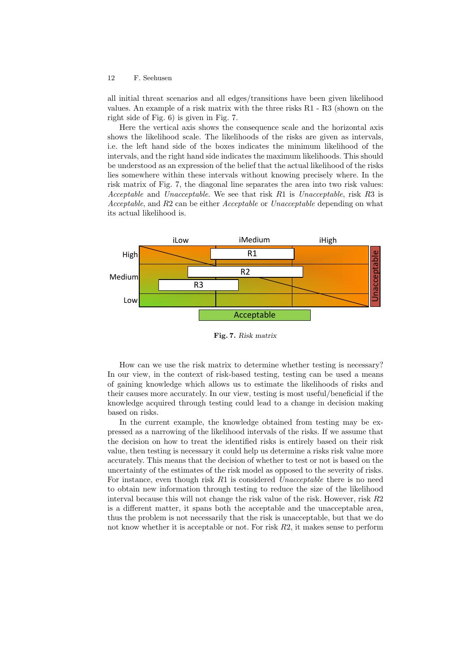all initial threat scenarios and all edges/transitions have been given likelihood values. An example of a risk matrix with the three risks R1 - R3 (shown on the right side of Fig. 6) is given in Fig. 7.

Here the vertical axis shows the consequence scale and the horizontal axis shows the likelihood scale. The likelihoods of the risks are given as intervals, i.e. the left hand side of the boxes indicates the minimum likelihood of the intervals, and the right hand side indicates the maximum likelihoods. This should be understood as an expression of the belief that the actual likelihood of the risks lies somewhere within these intervals without knowing precisely where. In the risk matrix of Fig. 7, the diagonal line separates the area into two risk values: Acceptable and Unacceptable. We see that risk R1 is Unacceptable, risk R3 is Acceptable, and R2 can be either Acceptable or Unacceptable depending on what its actual likelihood is.



Fig. 7. Risk matrix

How can we use the risk matrix to determine whether testing is necessary? In our view, in the context of risk-based testing, testing can be used a means of gaining knowledge which allows us to estimate the likelihoods of risks and their causes more accurately. In our view, testing is most useful/beneficial if the knowledge acquired through testing could lead to a change in decision making based on risks.

In the current example, the knowledge obtained from testing may be expressed as a narrowing of the likelihood intervals of the risks. If we assume that the decision on how to treat the identified risks is entirely based on their risk value, then testing is necessary it could help us determine a risks risk value more accurately. This means that the decision of whether to test or not is based on the uncertainty of the estimates of the risk model as opposed to the severity of risks. For instance, even though risk R1 is considered Unacceptable there is no need to obtain new information through testing to reduce the size of the likelihood interval because this will not change the risk value of the risk. However, risk R2 is a different matter, it spans both the acceptable and the unacceptable area, thus the problem is not necessarily that the risk is unacceptable, but that we do not know whether it is acceptable or not. For risk  $R2$ , it makes sense to perform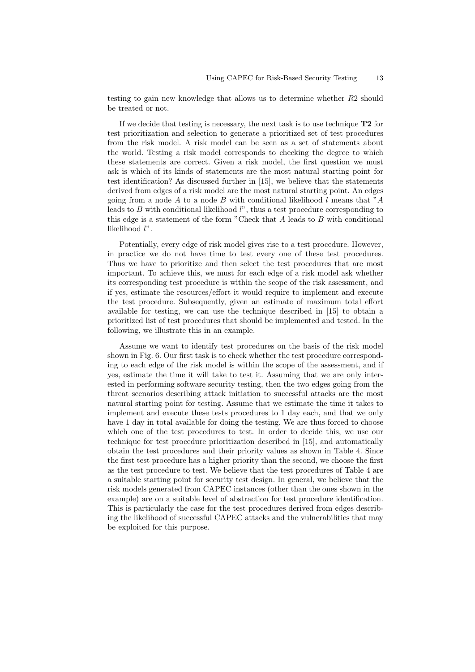testing to gain new knowledge that allows us to determine whether R2 should be treated or not.

If we decide that testing is necessary, the next task is to use technique  $T2$  for test prioritization and selection to generate a prioritized set of test procedures from the risk model. A risk model can be seen as a set of statements about the world. Testing a risk model corresponds to checking the degree to which these statements are correct. Given a risk model, the first question we must ask is which of its kinds of statements are the most natural starting point for test identification? As discussed further in [15], we believe that the statements derived from edges of a risk model are the most natural starting point. An edges going from a node  $A$  to a node  $B$  with conditional likelihood  $l$  means that " $A$ leads to B with conditional likelihood  $l$ ", thus a test procedure corresponding to this edge is a statement of the form "Check that A leads to B with conditional likelihood l".

Potentially, every edge of risk model gives rise to a test procedure. However, in practice we do not have time to test every one of these test procedures. Thus we have to prioritize and then select the test procedures that are most important. To achieve this, we must for each edge of a risk model ask whether its corresponding test procedure is within the scope of the risk assessment, and if yes, estimate the resources/effort it would require to implement and execute the test procedure. Subsequently, given an estimate of maximum total effort available for testing, we can use the technique described in [15] to obtain a prioritized list of test procedures that should be implemented and tested. In the following, we illustrate this in an example.

Assume we want to identify test procedures on the basis of the risk model shown in Fig. 6. Our first task is to check whether the test procedure corresponding to each edge of the risk model is within the scope of the assessment, and if yes, estimate the time it will take to test it. Assuming that we are only interested in performing software security testing, then the two edges going from the threat scenarios describing attack initiation to successful attacks are the most natural starting point for testing. Assume that we estimate the time it takes to implement and execute these tests procedures to 1 day each, and that we only have 1 day in total available for doing the testing. We are thus forced to choose which one of the test procedures to test. In order to decide this, we use our technique for test procedure prioritization described in [15], and automatically obtain the test procedures and their priority values as shown in Table 4. Since the first test procedure has a higher priority than the second, we choose the first as the test procedure to test. We believe that the test procedures of Table 4 are a suitable starting point for security test design. In general, we believe that the risk models generated from CAPEC instances (other than the ones shown in the example) are on a suitable level of abstraction for test procedure identification. This is particularly the case for the test procedures derived from edges describing the likelihood of successful CAPEC attacks and the vulnerabilities that may be exploited for this purpose.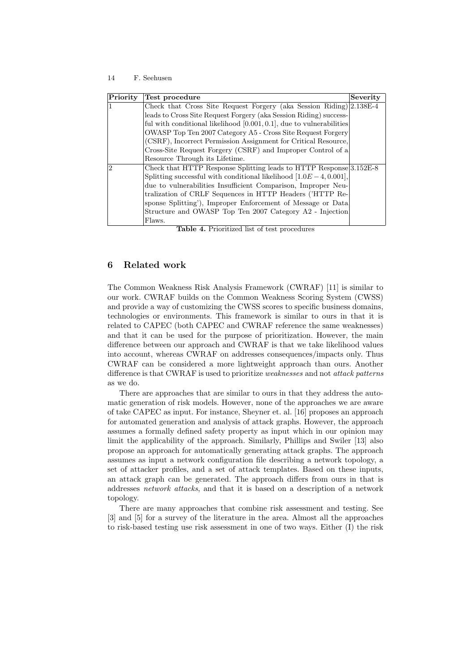| Priority       | Test procedure                                                          | Severity |
|----------------|-------------------------------------------------------------------------|----------|
| 1              | Check that Cross Site Request Forgery (aka Session Riding) 2.138E-4     |          |
|                | leads to Cross Site Request Forgery (aka Session Riding) success-       |          |
|                | ful with conditional likelihood $[0.001, 0.1]$ , due to vulnerabilities |          |
|                | <b>OWASP</b> Top Ten 2007 Category A5 - Cross Site Request Forgery      |          |
|                | (CSRF), Incorrect Permission Assignment for Critical Resource,          |          |
|                | Cross-Site Request Forgery (CSRF) and Improper Control of a             |          |
|                | Resource Through its Lifetime.                                          |          |
| $\overline{2}$ | Check that HTTP Response Splitting leads to HTTP Response 3.152E-8      |          |
|                | Splitting successful with conditional likelihood $[1.0E-4, 0.001]$ ,    |          |
|                | due to vulnerabilities Insufficient Comparison, Improper Neu-           |          |
|                | tralization of CRLF Sequences in HTTP Headers ('HTTP Re-                |          |
|                | sponse Splitting'), Improper Enforcement of Message or Data             |          |
|                | Structure and OWASP Top Ten 2007 Category A2 - Injection                |          |
|                | Flaws.                                                                  |          |

Table 4. Prioritized list of test procedures

### 6 Related work

The Common Weakness Risk Analysis Framework (CWRAF) [11] is similar to our work. CWRAF builds on the Common Weakness Scoring System (CWSS) and provide a way of customizing the CWSS scores to specific business domains, technologies or environments. This framework is similar to ours in that it is related to CAPEC (both CAPEC and CWRAF reference the same weaknesses) and that it can be used for the purpose of prioritization. However, the main difference between our approach and CWRAF is that we take likelihood values into account, whereas CWRAF on addresses consequences/impacts only. Thus CWRAF can be considered a more lightweight approach than ours. Another difference is that CWRAF is used to prioritize weaknesses and not attack patterns as we do.

There are approaches that are similar to ours in that they address the automatic generation of risk models. However, none of the approaches we are aware of take CAPEC as input. For instance, Sheyner et. al. [16] proposes an approach for automated generation and analysis of attack graphs. However, the approach assumes a formally defined safety property as input which in our opinion may limit the applicability of the approach. Similarly, Phillips and Swiler [13] also propose an approach for automatically generating attack graphs. The approach assumes as input a network configuration file describing a network topology, a set of attacker profiles, and a set of attack templates. Based on these inputs, an attack graph can be generated. The approach differs from ours in that is addresses network attacks, and that it is based on a description of a network topology.

There are many approaches that combine risk assessment and testing. See [3] and [5] for a survey of the literature in the area. Almost all the approaches to risk-based testing use risk assessment in one of two ways. Either (I) the risk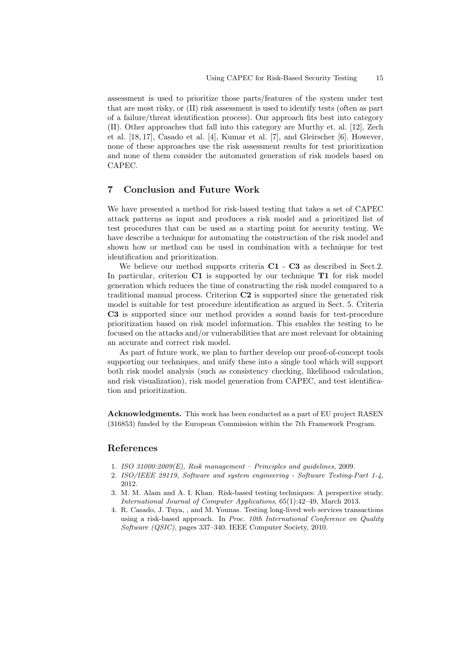assessment is used to prioritize those parts/features of the system under test that are most risky, or (II) risk assessment is used to identify tests (often as part of a failure/threat identification process). Our approach fits best into category (II). Other approaches that fall into this category are Murthy et. al. [12], Zech et al. [18, 17], Casado et al. [4], Kumar et al. [7], and Gleirscher [6]. However, none of these approaches use the risk assessment results for test prioritization and none of them consider the automated generation of risk models based on CAPEC.

### 7 Conclusion and Future Work

We have presented a method for risk-based testing that takes a set of CAPEC attack patterns as input and produces a risk model and a prioritized list of test procedures that can be used as a starting point for security testing. We have describe a technique for automating the construction of the risk model and shown how or method can be used in combination with a technique for test identification and prioritization.

We believe our method supports criteria  $C1 - C3$  as described in Sect.2. In particular, criterion  $C1$  is supported by our technique  $T1$  for risk model generation which reduces the time of constructing the risk model compared to a traditional manual process. Criterion C2 is supported since the generated risk model is suitable for test procedure identification as argued in Sect. 5. Criteria C3 is supported since our method provides a sound basis for test-procedure prioritization based on risk model information. This enables the testing to be focused on the attacks and/or vulnerabilities that are most relevant for obtaining an accurate and correct risk model.

As part of future work, we plan to further develop our proof-of-concept tools supporting our techniques, and unify these into a single tool which will support both risk model analysis (such as consistency checking, likelihood calculation, and risk visualization), risk model generation from CAPEC, and test identification and prioritization.

Acknowledgments. This work has been conducted as a part of EU project RASEN (316853) funded by the European Commission within the 7th Framework Program.

### References

- 1. ISO 31000:2009(E), Risk management Principles and guidelines, 2009.
- 2. ISO/IEEE 29119, Software and system engineering Software Testing-Part 1-4, 2012.
- 3. M. M. Alam and A. I. Khan. Risk-based testing techniques: A perspective study. International Journal of Computer Applications, 65(1):42–49, March 2013.
- 4. R. Casado, J. Tuya, , and M. Younas. Testing long-lived web services transactions using a risk-based approach. In Proc. 10th International Conference on Quality Software (QSIC), pages 337–340. IEEE Computer Society, 2010.